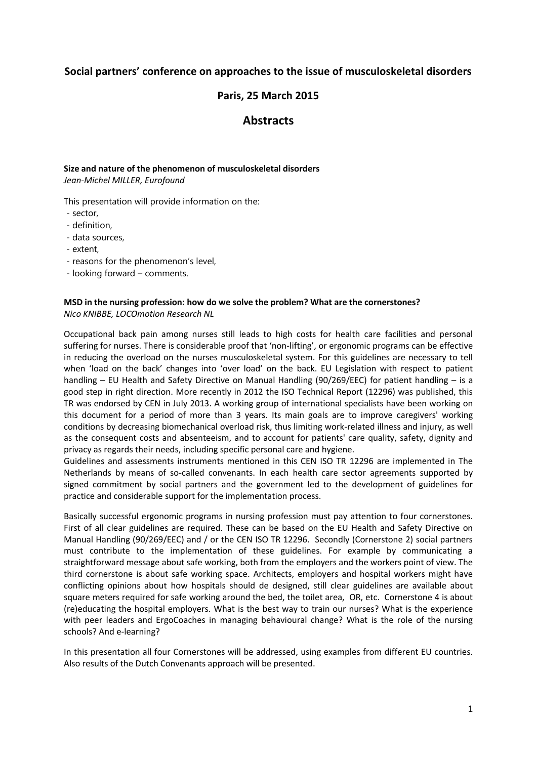# **Social partners' conference on approaches to the issue of musculoskeletal disorders**

# **Paris, 25 March 2015**

# **Abstracts**

# **Size and nature of the phenomenon of musculoskeletal disorders**

*Jean-Michel MILLER, Eurofound*

This presentation will provide information on the:

- sector,
- definition,
- data sources,
- extent,
- reasons for the phenomenon's level,
- looking forward comments.

## **MSD in the nursing profession: how do we solve the problem? What are the cornerstones?**  *Nico KNIBBE, LOCOmotion Research NL*

Occupational back pain among nurses still leads to high costs for health care facilities and personal suffering for nurses. There is considerable proof that 'non-lifting', or ergonomic programs can be effective in reducing the overload on the nurses musculoskeletal system. For this guidelines are necessary to tell when 'load on the back' changes into 'over load' on the back. EU Legislation with respect to patient handling – EU Health and Safety Directive on Manual Handling (90/269/EEC) for patient handling – is a good step in right direction. More recently in 2012 the ISO Technical Report (12296) was published, this TR was endorsed by CEN in July 2013. A working group of international specialists have been working on this document for a period of more than 3 years. Its main goals are to improve caregivers' working conditions by decreasing biomechanical overload risk, thus limiting work-related illness and injury, as well as the consequent costs and absenteeism, and to account for patients' care quality, safety, dignity and privacy as regards their needs, including specific personal care and hygiene.

Guidelines and assessments instruments mentioned in this CEN ISO TR 12296 are implemented in The Netherlands by means of so-called convenants. In each health care sector agreements supported by signed commitment by social partners and the government led to the development of guidelines for practice and considerable support for the implementation process.

Basically successful ergonomic programs in nursing profession must pay attention to four cornerstones. First of all clear guidelines are required. These can be based on the EU Health and Safety Directive on Manual Handling (90/269/EEC) and / or the CEN ISO TR 12296. Secondly (Cornerstone 2) social partners must contribute to the implementation of these guidelines. For example by communicating a straightforward message about safe working, both from the employers and the workers point of view. The third cornerstone is about safe working space. Architects, employers and hospital workers might have conflicting opinions about how hospitals should de designed, still clear guidelines are available about square meters required for safe working around the bed, the toilet area, OR, etc. Cornerstone 4 is about (re)educating the hospital employers. What is the best way to train our nurses? What is the experience with peer leaders and ErgoCoaches in managing behavioural change? What is the role of the nursing schools? And e-learning?

In this presentation all four Cornerstones will be addressed, using examples from different EU countries. Also results of the Dutch Convenants approach will be presented.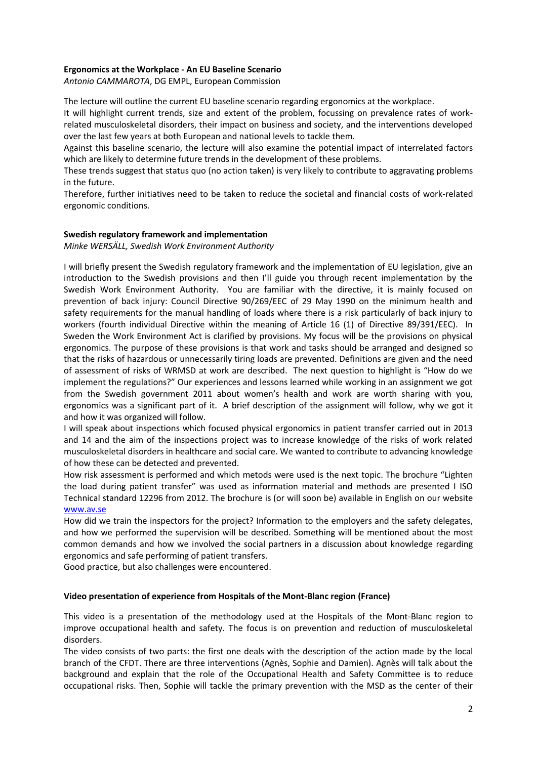#### **Ergonomics at the Workplace - An EU Baseline Scenario**

*Antonio CAMMAROTA*, DG EMPL, European Commission

The lecture will outline the current EU baseline scenario regarding ergonomics at the workplace.

It will highlight current trends, size and extent of the problem, focussing on prevalence rates of workrelated musculoskeletal disorders, their impact on business and society, and the interventions developed over the last few years at both European and national levels to tackle them.

Against this baseline scenario, the lecture will also examine the potential impact of interrelated factors which are likely to determine future trends in the development of these problems.

These trends suggest that status quo (no action taken) is very likely to contribute to aggravating problems in the future.

Therefore, further initiatives need to be taken to reduce the societal and financial costs of work-related ergonomic conditions.

#### **Swedish regulatory framework and implementation**

*Minke WERSÄLL, Swedish Work Environment Authority*

I will briefly present the Swedish regulatory framework and the implementation of EU legislation, give an introduction to the Swedish provisions and then I'll guide you through recent implementation by the Swedish Work Environment Authority. You are familiar with the directive, it is mainly focused on prevention of back injury: Council Directive 90/269/EEC of 29 May 1990 on the minimum health and safety requirements for the manual handling of loads where there is a risk particularly of back injury to workers (fourth individual Directive within the meaning of Article 16 (1) of Directive 89/391/EEC). In Sweden the Work Environment Act is clarified by provisions. My focus will be the provisions on physical ergonomics. The purpose of these provisions is that work and tasks should be arranged and designed so that the risks of hazardous or unnecessarily tiring loads are prevented. Definitions are given and the need of assessment of risks of WRMSD at work are described. The next question to highlight is "How do we implement the regulations?" Our experiences and lessons learned while working in an assignment we got from the Swedish government 2011 about women's health and work are worth sharing with you, ergonomics was a significant part of it. A brief description of the assignment will follow, why we got it and how it was organized will follow.

I will speak about inspections which focused physical ergonomics in patient transfer carried out in 2013 and 14 and the aim of the inspections project was to increase knowledge of the risks of work related musculoskeletal disorders in healthcare and social care. We wanted to contribute to advancing knowledge of how these can be detected and prevented.

How risk assessment is performed and which metods were used is the next topic. The brochure "Lighten the load during patient transfer" was used as information material and methods are presented I ISO Technical standard 12296 from 2012. The brochure is (or will soon be) available in English on our website [www.av.se](http://www.av.se/)

How did we train the inspectors for the project? Information to the employers and the safety delegates, and how we performed the supervision will be described. Something will be mentioned about the most common demands and how we involved the social partners in a discussion about knowledge regarding ergonomics and safe performing of patient transfers.

Good practice, but also challenges were encountered.

#### **Video presentation of experience from Hospitals of the Mont-Blanc region (France)**

This video is a presentation of the methodology used at the Hospitals of the Mont-Blanc region to improve occupational health and safety. The focus is on prevention and reduction of musculoskeletal disorders.

The video consists of two parts: the first one deals with the description of the action made by the local branch of the CFDT. There are three interventions (Agnès, Sophie and Damien). Agnès will talk about the background and explain that the role of the Occupational Health and Safety Committee is to reduce occupational risks. Then, Sophie will tackle the primary prevention with the MSD as the center of their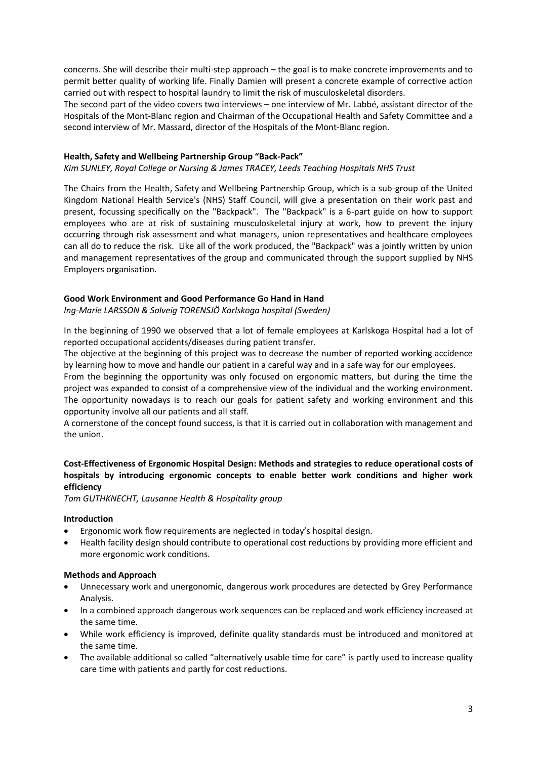concerns. She will describe their multi-step approach – the goal is to make concrete improvements and to permit better quality of working life. Finally Damien will present a concrete example of corrective action carried out with respect to hospital laundry to limit the risk of musculoskeletal disorders.

The second part of the video covers two interviews – one interview of Mr. Labbé, assistant director of the Hospitals of the Mont-Blanc region and Chairman of the Occupational Health and Safety Committee and a second interview of Mr. Massard, director of the Hospitals of the Mont-Blanc region.

## **Health, Safety and Wellbeing Partnership Group "Back-Pack"**

*Kim SUNLEY, Royal College or Nursing & James TRACEY, Leeds Teaching Hospitals NHS Trust*

The Chairs from the Health, Safety and Wellbeing Partnership Group, which is a sub-group of the United Kingdom National Health Service's (NHS) Staff Council, will give a presentation on their work past and present, focussing specifically on the "Backpack". The "Backpack" is a 6-part guide on how to support employees who are at risk of sustaining musculoskeletal injury at work, how to prevent the injury occurring through risk assessment and what managers, union representatives and healthcare employees can all do to reduce the risk. Like all of the work produced, the "Backpack" was a jointly written by union and management representatives of the group and communicated through the support supplied by NHS Employers organisation.

#### **Good Work Environment and Good Performance Go Hand in Hand**

*Ing-Marie LARSSON & Solveig TORENSJÖ Karlskoga hospital (Sweden)*

In the beginning of 1990 we observed that a lot of female employees at Karlskoga Hospital had a lot of reported occupational accidents/diseases during patient transfer.

The objective at the beginning of this project was to decrease the number of reported working accidence by learning how to move and handle our patient in a careful way and in a safe way for our employees.

From the beginning the opportunity was only focused on ergonomic matters, but during the time the project was expanded to consist of a comprehensive view of the individual and the working environment. The opportunity nowadays is to reach our goals for patient safety and working environment and this opportunity involve all our patients and all staff.

A cornerstone of the concept found success, is that it is carried out in collaboration with management and the union.

# **Cost-Effectiveness of Ergonomic Hospital Design: Methods and strategies to reduce operational costs of hospitals by introducing ergonomic concepts to enable better work conditions and higher work efficiency**

*Tom GUTHKNECHT, Lausanne Health & Hospitality group*

#### **Introduction**

- Ergonomic work flow requirements are neglected in today's hospital design.
- Health facility design should contribute to operational cost reductions by providing more efficient and more ergonomic work conditions.

#### **Methods and Approach**

- Unnecessary work and unergonomic, dangerous work procedures are detected by Grey Performance Analysis.
- In a combined approach dangerous work sequences can be replaced and work efficiency increased at the same time.
- While work efficiency is improved, definite quality standards must be introduced and monitored at the same time.
- The available additional so called "alternatively usable time for care" is partly used to increase quality care time with patients and partly for cost reductions.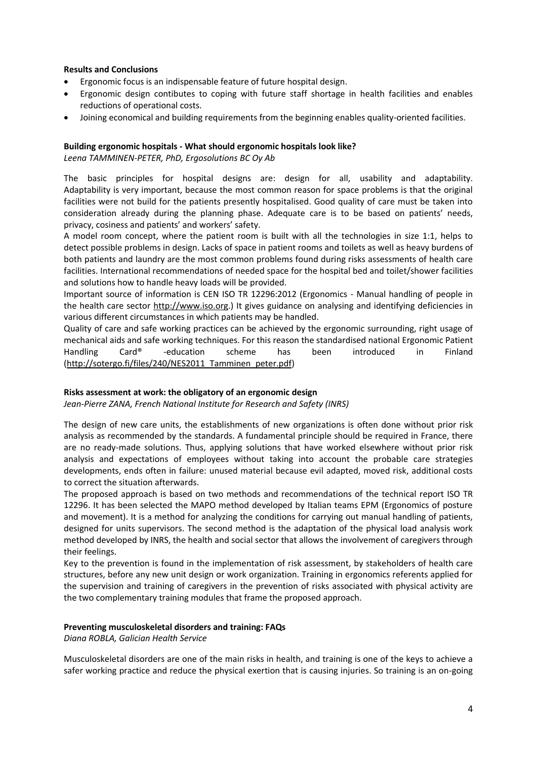#### **Results and Conclusions**

- Ergonomic focus is an indispensable feature of future hospital design.
- Ergonomic design contibutes to coping with future staff shortage in health facilities and enables reductions of operational costs.
- Joining economical and building requirements from the beginning enables quality-oriented facilities.

#### **Building ergonomic hospitals - What should ergonomic hospitals look like?**

*Leena TAMMINEN-PETER, PhD, Ergosolutions BC Oy Ab*

The basic principles for hospital designs are: design for all, usability and adaptability. Adaptability is very important, because the most common reason for space problems is that the original facilities were not build for the patients presently hospitalised. Good quality of care must be taken into consideration already during the planning phase. Adequate care is to be based on patients' needs, privacy, cosiness and patients' and workers' safety.

A model room concept, where the patient room is built with all the technologies in size 1:1, helps to detect possible problems in design. Lacks of space in patient rooms and toilets as well as heavy burdens of both patients and laundry are the most common problems found during risks assessments of health care facilities. International recommendations of needed space for the hospital bed and toilet/shower facilities and solutions how to handle heavy loads will be provided.

Important source of information is CEN ISO TR 12296:2012 (Ergonomics - Manual handling of people in the health care sector [http://www.iso.org.](http://www.iso.org/)) It gives guidance on analysing and identifying deficiencies in various different circumstances in which patients may be handled.

Quality of care and safe working practices can be achieved by the ergonomic surrounding, right usage of mechanical aids and safe working techniques. For this reason the standardised national Ergonomic Patient Handling Card® -education scheme has been introduced in Finland [\(http://sotergo.fi/files/240/NES2011\\_Tamminen\\_peter.pdf\)](http://sotergo.fi/files/240/NES2011_Tamminen_peter.pdf)

## **Risks assessment at work: the obligatory of an ergonomic design**

*Jean-Pierre ZANA, French National Institute for Research and Safety (INRS)*

The design of new care units, the establishments of new organizations is often done without prior risk analysis as recommended by the standards. A fundamental principle should be required in France, there are no ready-made solutions. Thus, applying solutions that have worked elsewhere without prior risk analysis and expectations of employees without taking into account the probable care strategies developments, ends often in failure: unused material because evil adapted, moved risk, additional costs to correct the situation afterwards.

The proposed approach is based on two methods and recommendations of the technical report ISO TR 12296. It has been selected the MAPO method developed by Italian teams EPM (Ergonomics of posture and movement). It is a method for analyzing the conditions for carrying out manual handling of patients, designed for units supervisors. The second method is the adaptation of the physical load analysis work method developed by INRS, the health and social sector that allows the involvement of caregivers through their feelings.

Key to the prevention is found in the implementation of risk assessment, by stakeholders of health care structures, before any new unit design or work organization. Training in ergonomics referents applied for the supervision and training of caregivers in the prevention of risks associated with physical activity are the two complementary training modules that frame the proposed approach.

#### **Preventing musculoskeletal disorders and training: FAQs**

*Diana ROBLA, Galician Health Service*

Musculoskeletal disorders are one of the main risks in health, and training is one of the keys to achieve a safer working practice and reduce the physical exertion that is causing injuries. So training is an on-going